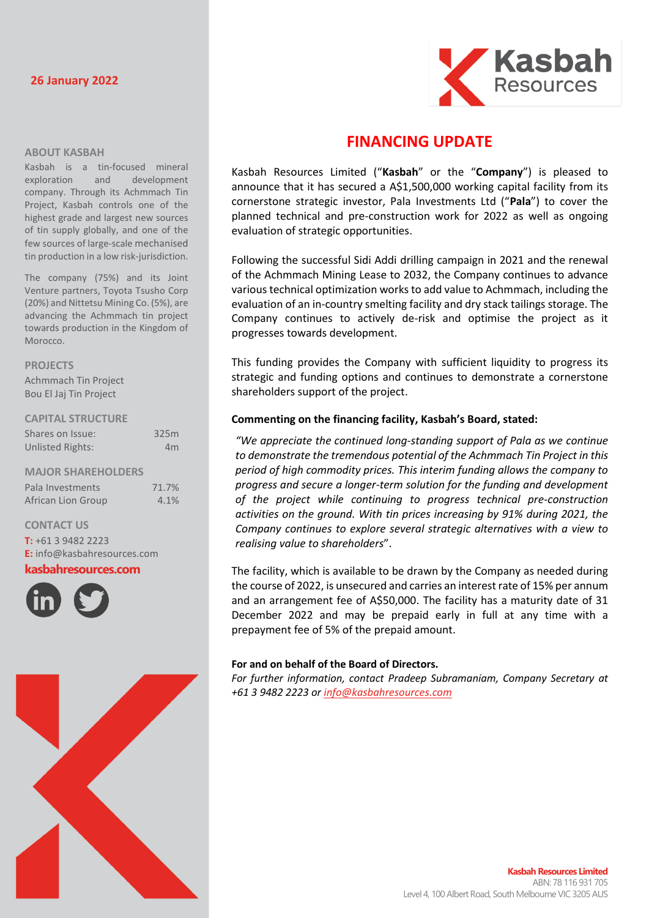# **26 January 2022**



### **ABOUT KASBAH**

Kasbah is a tin-focused mineral exploration and development company. Through its Achmmach Tin Project, Kasbah controls one of the highest grade and largest new sources of tin supply globally, and one of the few sources of large-scale mechanised tin production in a low risk-jurisdiction.

The company (75%) and its Joint Venture partners, Toyota Tsusho Corp (20%) and Nittetsu Mining Co. (5%), are advancing the Achmmach tin project towards production in the Kingdom of Morocco.

### **PROJECTS**

Achmmach Tin Project Bou El Jaj Tin Project

### **CAPITAL STRUCTURE**

| Shares on Issue:          | 325m           |
|---------------------------|----------------|
| <b>Unlisted Rights:</b>   | 4 <sub>m</sub> |
|                           |                |
| <b>MAJOR SHAREHOLDERS</b> |                |
| Pala Investments          | 71.7%          |
| African Lion Group        | 4.1%           |

# **CONTACT US**

**T:** +61 3 9482 2223 **E:** [info@kasbahresources.com](mailto:info@kasbahresources.com)

**kasbahresources.com**





# **FINANCING UPDATE**

Kasbah Resources Limited ("**Kasbah**" or the "**Company**") is pleased to announce that it has secured a A\$1,500,000 working capital facility from its cornerstone strategic investor, Pala Investments Ltd ("**Pala**") to cover the planned technical and pre-construction work for 2022 as well as ongoing evaluation of strategic opportunities.

Following the successful Sidi Addi drilling campaign in 2021 and the renewal of the Achmmach Mining Lease to 2032, the Company continues to advance various technical optimization worksto add value to Achmmach, including the evaluation of an in-country smelting facility and dry stack tailings storage. The Company continues to actively de-risk and optimise the project as it progresses towards development.

This funding provides the Company with sufficient liquidity to progress its strategic and funding options and continues to demonstrate a cornerstone shareholders support of the project.

### **Commenting on the financing facility, Kasbah's Board, stated:**

*"We appreciate the continued long-standing support of Pala as we continue to demonstrate the tremendous potential of the Achmmach Tin Project in this period of high commodity prices. This interim funding allows the company to progress and secure a longer-term solution for the funding and development of the project while continuing to progress technical pre-construction activities on the ground. With tin prices increasing by 91% during 2021, the Company continues to explore several strategic alternatives with a view to realising value to shareholders*".

The facility, which is available to be drawn by the Company as needed during the course of 2022, is unsecured and carries an interest rate of 15% per annum and an arrangement fee of A\$50,000. The facility has a maturity date of 31 December 2022 and may be prepaid early in full at any time with a prepayment fee of 5% of the prepaid amount.

### **For and on behalf of the Board of Directors.**

*For further information, contact Pradeep Subramaniam, Company Secretary at +61 3 9482 2223 or [info@kasbahresources.com](mailto:info@kasbahresources.com)*